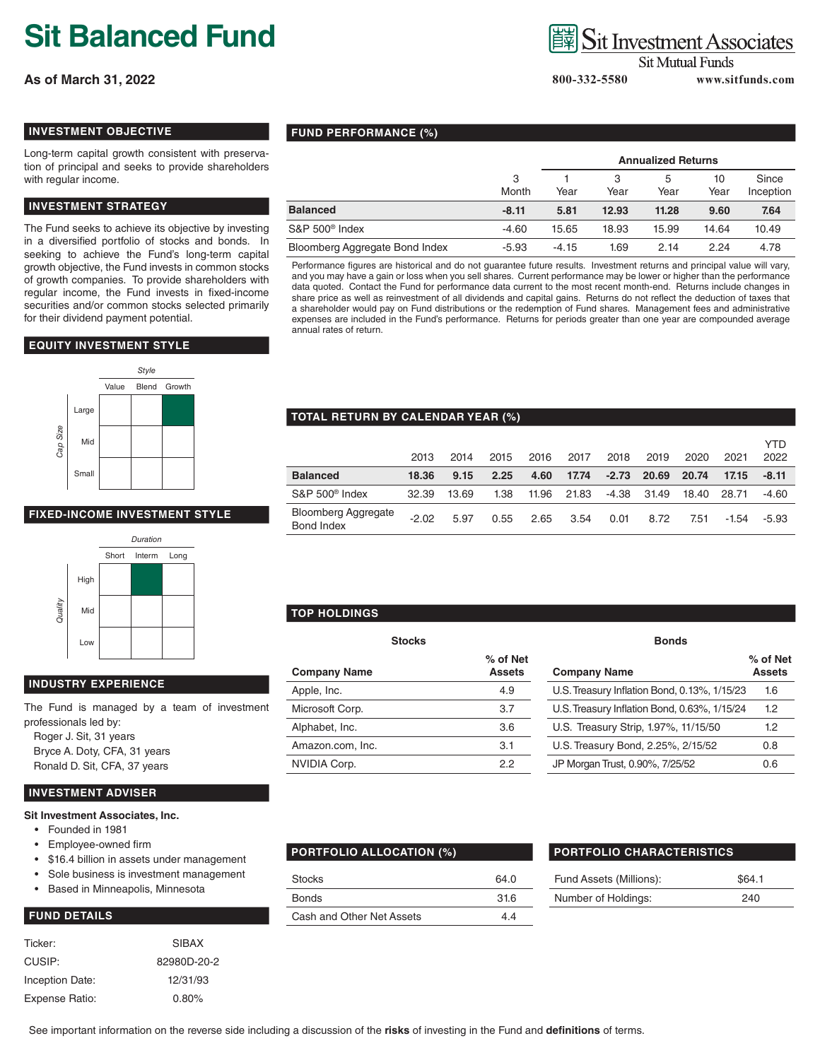# **Sit Balanced Fund**

**As of March 31, 2022**

# **Sit Investment Associates**

**Sit Mutual Funds** 

 **800-332-5580 www.sitfunds.com**

### **INVESTMENT OBJECTIVE**

Long-term capital growth consistent with preservation of principal and seeks to provide shareholders with regular income.

# **INVESTMENT STRATEGY**

The Fund seeks to achieve its objective by investing in a diversified portfolio of stocks and bonds. In seeking to achieve the Fund's long-term capital growth objective, the Fund invests in common stocks of growth companies. To provide shareholders with regular income, the Fund invests in fixed-income securities and/or common stocks selected primarily for their dividend payment potential.

#### **EQUITY INVESTMENT STYLE**



# **FIXED-INCOME INVESTMENT STYLE**



# **INDUSTRY EXPERIENCE**

The Fund is managed by a team of investment professionals led by:

Roger J. Sit, 31 years Bryce A. Doty, CFA, 31 years Ronald D. Sit, CFA, 37 years

#### **INVESTMENT ADVISER**

#### **Sit Investment Associates, Inc.**

- Founded in 1981
- Employee-owned firm
- \$16.4 billion in assets under management
- Sole business is investment management
- Based in Minneapolis, Minnesota

#### **FUND DETAILS**

| Ticker:         | <b>SIBAX</b> |
|-----------------|--------------|
| CUSIP:          | 82980D-20-2  |
| Inception Date: | 12/31/93     |
| Expense Ratio:  | 0.80%        |

#### **FUND PERFORMANCE (%)**

|                                |            | <b>Annualized Returns</b> |           |           |            |                    |
|--------------------------------|------------|---------------------------|-----------|-----------|------------|--------------------|
|                                | 3<br>Month | Year                      | З<br>Year | 5<br>Year | 10<br>Year | Since<br>Inception |
| <b>Balanced</b>                | $-8.11$    | 5.81                      | 12.93     | 11.28     | 9.60       | 7.64               |
| S&P 500 <sup>®</sup> Index     | $-4.60$    | 15.65                     | 18.93     | 15.99     | 14.64      | 10.49              |
| Bloomberg Aggregate Bond Index | $-5.93$    | $-4.15$                   | 1.69      | 2.14      | 2.24       | 4.78               |

Performance figures are historical and do not guarantee future results. Investment returns and principal value will vary, and you may have a gain or loss when you sell shares. Current performance may be lower or higher than the performance data quoted. Contact the Fund for performance data current to the most recent month-end. Returns include changes in share price as well as reinvestment of all dividends and capital gains. Returns do not reflect the deduction of taxes that a shareholder would pay on Fund distributions or the redemption of Fund shares. Management fees and administrative expenses are included in the Fund's performance. Returns for periods greater than one year are compounded average annual rates of return.

#### **TOTAL RETURN BY CALENDAR YEAR (%)**

|                                          | 2013    | 2014  | 2015 | 2016  | 2017  | 2018    | 2019  | 2020  | 2021    | YTD<br>2022 |
|------------------------------------------|---------|-------|------|-------|-------|---------|-------|-------|---------|-------------|
| <b>Balanced</b>                          | 18.36   | 9.15  | 2.25 | 4.60  | 17.74 | $-2.73$ | 20.69 | 20.74 | 17.15   | $-8.11$     |
| $S\&P 500^{\circ}$ Index                 | 32.39   | 13.69 | 1.38 | 11.96 | 21.83 | -4.38   | 31.49 | 18.40 | 28.71   | -4.60       |
| <b>Bloomberg Aggregate</b><br>Bond Index | $-2.02$ | 5.97  | 0.55 | 2.65  | 3.54  | 0.01    | 8.72  | 7.51  | $-1.54$ | $-5.93$     |

# **TOP HOLDINGS**

| <b>Stocks</b>       |                           | <b>Bonds</b>                                 |                             |  |  |  |
|---------------------|---------------------------|----------------------------------------------|-----------------------------|--|--|--|
| <b>Company Name</b> | % of Net<br><b>Assets</b> | <b>Company Name</b>                          | $%$ of $\mathsf{I}$<br>Asse |  |  |  |
| Apple, Inc.         | 4.9                       | U.S. Treasury Inflation Bond, 0.13%, 1/15/23 | 1.6                         |  |  |  |
| Microsoft Corp.     | 3.7                       | U.S. Treasury Inflation Bond, 0.63%, 1/15/24 | 1.2                         |  |  |  |
| Alphabet, Inc.      | 3.6                       | U.S. Treasury Strip, 1.97%, 11/15/50         | 1.2                         |  |  |  |
| Amazon.com, Inc.    | 3.1                       | U.S. Treasury Bond, 2.25%, 2/15/52           | 0.8                         |  |  |  |
| NVIDIA Corp.        | $2.2^{\circ}$             | JP Morgan Trust, 0.90%, 7/25/52              | 0.6                         |  |  |  |
|                     |                           |                                              |                             |  |  |  |

| ራ of Net<br>Assets | <b>Company Name</b>                          | % of Net<br><b>Assets</b> |
|--------------------|----------------------------------------------|---------------------------|
| 4.9                | U.S. Treasury Inflation Bond, 0.13%, 1/15/23 | 1.6                       |
| 3.7                | U.S. Treasury Inflation Bond, 0.63%, 1/15/24 | 1.2                       |
| 3.6                | U.S. Treasury Strip, 1.97%, 11/15/50         | 1.2                       |
| 3.1                | U.S. Treasury Bond, 2.25%, 2/15/52           | 0.8                       |
| 22                 | JP Morgan Trust, 0.90%, 7/25/52              | 0.6                       |

| <b>PORTFOLIO ALLOCATION (%)</b> | PORTFOLIO CHARACTERISTICS |                         |  |
|---------------------------------|---------------------------|-------------------------|--|
| <b>Stocks</b>                   | 64.0                      | Fund Assets (Millions): |  |
| Bonds                           | 31.6                      | Number of Holdings:     |  |
| Cash and Other Net Assets       | 4.4                       |                         |  |

| Fund Assets (Millions):<br>\$64.1 |  |
|-----------------------------------|--|
| Number of Holdings:<br>240        |  |

See important information on the reverse side including a discussion of the **risks** of investing in the Fund and **definitions** of terms.